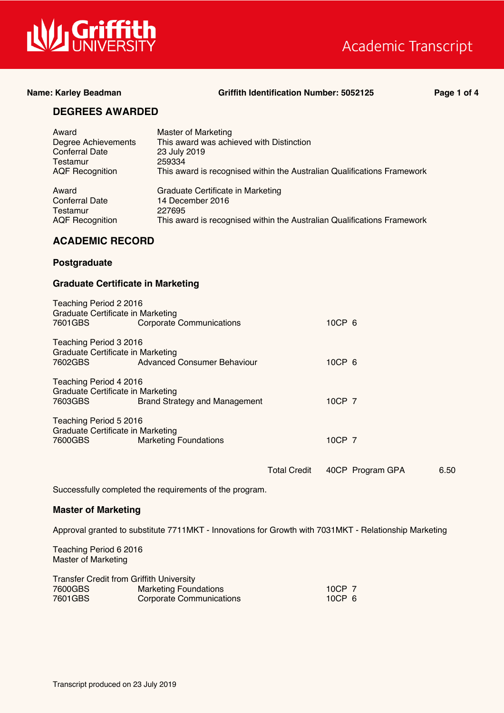

## Academic Transcript

#### **Name: Karley Beadman Griffith Identification Number: 5052125 Page 1 of 4**

### **DEGREES AWARDED**

| Award<br>Degree Achievements<br><b>Conferral Date</b><br>Testamur<br><b>AQF Recognition</b> | <b>Master of Marketing</b><br>This award was achieved with Distinction<br>23 July 2019<br>259334<br>This award is recognised within the Australian Qualifications Framework |
|---------------------------------------------------------------------------------------------|-----------------------------------------------------------------------------------------------------------------------------------------------------------------------------|
| Award                                                                                       | Graduate Certificate in Marketing                                                                                                                                           |
| <b>Conferral Date</b>                                                                       | 14 December 2016                                                                                                                                                            |
| Testamur                                                                                    | 227695                                                                                                                                                                      |
| <b>AQF</b> Recognition                                                                      | This award is recognised within the Australian Qualifications Framework                                                                                                     |

### **ACADEMIC RECORD**

#### **Postgraduate**

#### **Graduate Certificate in Marketing**

| Teaching Period 2 2016<br>Graduate Certificate in Marketing<br>7601GBS | <b>Corporate Communications</b> | 10CP 6 |  |  |  |
|------------------------------------------------------------------------|---------------------------------|--------|--|--|--|
| Teaching Period 3 2016                                                 |                                 |        |  |  |  |
| Graduate Certificate in Marketing                                      |                                 |        |  |  |  |
| 7602GBS                                                                | Advanced Consumer Behaviour     | 10CP 6 |  |  |  |
| Teaching Period 4 2016                                                 |                                 |        |  |  |  |
| Graduate Certificate in Marketing                                      |                                 |        |  |  |  |
| 7603GBS                                                                | Brand Strategy and Management   | 10CP 7 |  |  |  |
| Teaching Period 5 2016                                                 |                                 |        |  |  |  |
| Graduate Certificate in Marketing                                      |                                 |        |  |  |  |
| 7600GBS                                                                | <b>Marketing Foundations</b>    | 10CP 7 |  |  |  |
|                                                                        |                                 |        |  |  |  |

Total Credit 40CP Program GPA 6.50

Successfully completed the requirements of the program.

#### **Master of Marketing**

Approval granted to substitute 7711MKT - Innovations for Growth with 7031MKT - Relationship Marketing

Teaching Period 6 2016 Master of Marketing

| <b>Transfer Credit from Griffith University</b> |                              |                   |  |
|-------------------------------------------------|------------------------------|-------------------|--|
| 7600GBS                                         | <b>Marketing Foundations</b> | 10CP 7            |  |
| 7601GBS                                         | Corporate Communications     | 10CP <sub>6</sub> |  |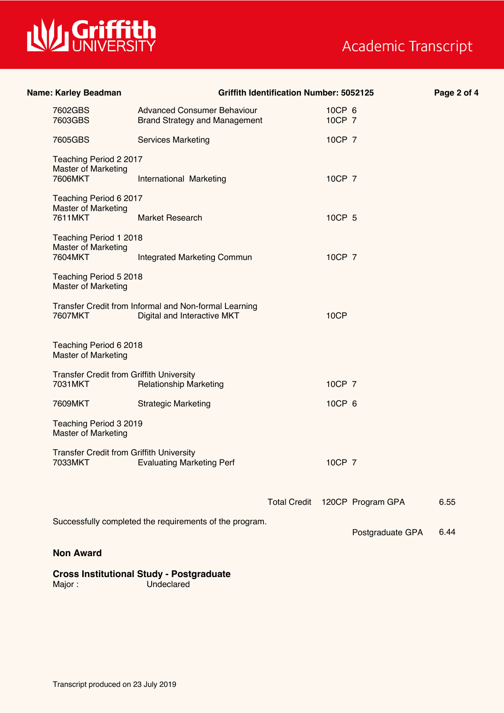

# Academic Transcript

| Name: Karley Beadman                                       |                                                                                      | <b>Griffith Identification Number: 5052125</b> |                  |                                | Page 2 of 4 |
|------------------------------------------------------------|--------------------------------------------------------------------------------------|------------------------------------------------|------------------|--------------------------------|-------------|
| 7602GBS<br>7603GBS                                         | <b>Advanced Consumer Behaviour</b><br><b>Brand Strategy and Management</b>           |                                                | 10CP 6<br>10CP 7 |                                |             |
| 7605GBS                                                    | <b>Services Marketing</b>                                                            |                                                | 10CP 7           |                                |             |
| Teaching Period 2 2017<br><b>Master of Marketing</b>       |                                                                                      |                                                |                  |                                |             |
| 7606MKT                                                    | International Marketing                                                              |                                                | 10CP 7           |                                |             |
| Teaching Period 6 2017<br><b>Master of Marketing</b>       |                                                                                      |                                                |                  |                                |             |
| 7611MKT                                                    | Market Research                                                                      |                                                | 10CP 5           |                                |             |
| Teaching Period 1 2018<br><b>Master of Marketing</b>       |                                                                                      |                                                |                  |                                |             |
| 7604MKT                                                    | <b>Integrated Marketing Commun</b>                                                   |                                                | 10CP 7           |                                |             |
| Teaching Period 5 2018<br>Master of Marketing              |                                                                                      |                                                |                  |                                |             |
| 7607MKT                                                    | Transfer Credit from Informal and Non-formal Learning<br>Digital and Interactive MKT |                                                | 10CP             |                                |             |
| Teaching Period 6 2018<br><b>Master of Marketing</b>       |                                                                                      |                                                |                  |                                |             |
| <b>Transfer Credit from Griffith University</b>            |                                                                                      |                                                |                  |                                |             |
| 7031MKT                                                    | <b>Relationship Marketing</b>                                                        |                                                | 10CP 7           |                                |             |
| 7609MKT                                                    | <b>Strategic Marketing</b>                                                           |                                                | 10CP 6           |                                |             |
| Teaching Period 3 2019<br><b>Master of Marketing</b>       |                                                                                      |                                                |                  |                                |             |
| <b>Transfer Credit from Griffith University</b><br>7033MKT | <b>Evaluating Marketing Perf</b>                                                     |                                                | 10CP 7           |                                |             |
|                                                            |                                                                                      |                                                |                  |                                |             |
|                                                            |                                                                                      |                                                |                  | Total Credit 120CP Program GPA | 6.55        |
|                                                            | Successfully completed the requirements of the program.                              |                                                |                  | Postgraduate GPA               | 6.44        |
| <b>Non Award</b>                                           |                                                                                      |                                                |                  |                                |             |
|                                                            |                                                                                      |                                                |                  |                                |             |
|                                                            | <b>Cross Institutional Study - Postgraduate</b>                                      |                                                |                  |                                |             |

Major : Undeclared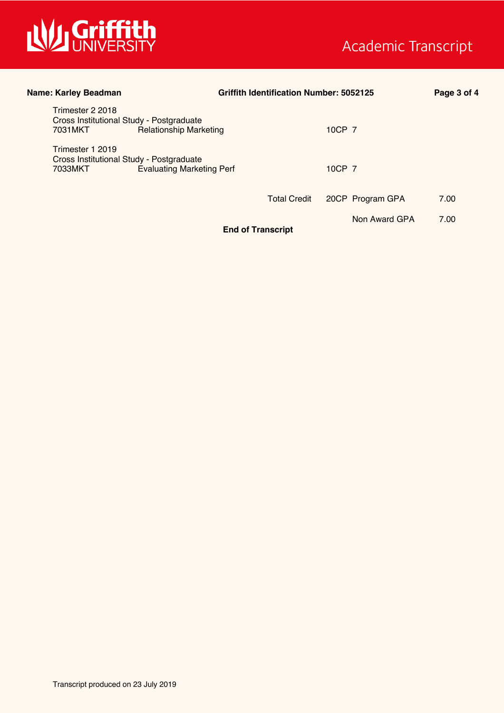

| Name: Karley Beadman                                                                                        | <b>Griffith Identification Number: 5052125</b> |                  | Page 3 of 4 |
|-------------------------------------------------------------------------------------------------------------|------------------------------------------------|------------------|-------------|
| Trimester 2 2018<br>Cross Institutional Study - Postgraduate                                                |                                                |                  |             |
| <b>Relationship Marketing</b><br>7031MKT                                                                    |                                                | 10CP 7           |             |
| Trimester 1 2019<br>Cross Institutional Study - Postgraduate<br><b>Evaluating Marketing Perf</b><br>7033MKT |                                                | 10CP 7           |             |
|                                                                                                             | <b>Total Credit</b>                            | 20CP Program GPA | 7.00        |
|                                                                                                             | <b>End of Transcript</b>                       | Non Award GPA    | 7.00        |
|                                                                                                             |                                                |                  |             |